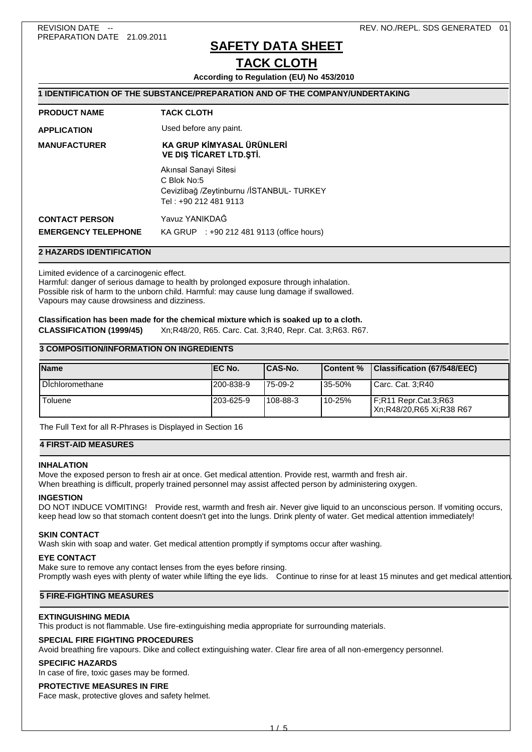# **SAFETY DATA SHEET**

# **TACK CLOTH**

**According to Regulation (EU) No 453/2010**

| 1 IDENTIFICATION OF THE SUBSTANCE/PREPARATION AND OF THE COMPANY/UNDERTAKING |                                                                                                             |  |  |
|------------------------------------------------------------------------------|-------------------------------------------------------------------------------------------------------------|--|--|
| <b>PRODUCT NAME</b>                                                          | <b>TACK CLOTH</b>                                                                                           |  |  |
| <b>APPLICATION</b>                                                           | Used before any paint.                                                                                      |  |  |
| <b>MANUFACTURER</b>                                                          | KA GRUP KİMYASAL ÜRÜNLERİ<br><b>VE DIS TICARET LTD.STI.</b>                                                 |  |  |
|                                                                              | Akınsal Sanayi Sitesi<br>C Blok No:5<br>Cevizlibağ /Zeytinburnu /İSTANBUL- TURKEY<br>Tel : +90 212 481 9113 |  |  |
| <b>CONTACT PERSON</b><br><b>EMERGENCY TELEPHONE</b>                          | Yavuz YANIKDAĞ<br>KA GRUP : +90 212 481 9113 (office hours)                                                 |  |  |

## **2 HAZARDS IDENTIFICATION**

Limited evidence of a carcinogenic effect.

Harmful: danger of serious damage to health by prolonged exposure through inhalation. Possible risk of harm to the unborn child. Harmful: may cause lung damage if swallowed. Vapours may cause drowsiness and dizziness.

### **Classification has been made for the chemical mixture which is soaked up to a cloth. CLASSIFICATION (1999/45)** Xn;R48/20, R65. Carc. Cat. 3;R40, Repr. Cat. 3;R63. R67.

## **3 COMPOSITION/INFORMATION ON INGREDIENTS**

| <b>Name</b>     | IEC No.    | ICAS-No. | <b>Content %</b> | Classification (67/548/EEC)                          |
|-----------------|------------|----------|------------------|------------------------------------------------------|
| Dichloromethane | 1200-838-9 | 175-09-2 | 135-50%          | l Carc. Cat. 3:R40                                   |
| Toluene         | 1203-625-9 | 108-88-3 | $110 - 25%$      | $F:R11$ Repr.Cat.3;R63<br>l Xn:R48/20.R65 Xi:R38 R67 |

The Full Text for all R-Phrases is Displayed in Section 16

## **4 FIRST-AID MEASURES**

### **INHAI ATION**

Move the exposed person to fresh air at once. Get medical attention. Provide rest, warmth and fresh air.

When breathing is difficult, properly trained personnel may assist affected person by administering oxygen.

### **INGESTION**

DO NOT INDUCE VOMITING! Provide rest, warmth and fresh air. Never give liquid to an unconscious person. If vomiting occurs, keep head low so that stomach content doesn't get into the lungs. Drink plenty of water. Get medical attention immediately!

### **SKIN CONTACT**

Wash skin with soap and water. Get medical attention promptly if symptoms occur after washing.

### **EYE CONTACT**

Make sure to remove any contact lenses from the eyes before rinsing. Promptly wash eyes with plenty of water while lifting the eye lids. Continue to rinse for at least 15 minutes and get medical attention

## **5 FIRE-FIGHTING MEASURES**

### **EXTINGUISHING MEDIA**

This product is not flammable. Use fire-extinguishing media appropriate for surrounding materials.

### **SPECIAL FIRE FIGHTING PROCEDURES**

Avoid breathing fire vapours. Dike and collect extinguishing water. Clear fire area of all non-emergency personnel.

### **SPECIFIC HAZARDS**

In case of fire, toxic gases may be formed.

#### **PROTECTIVE MEASURES IN FIRE**

Face mask, protective gloves and safety helmet.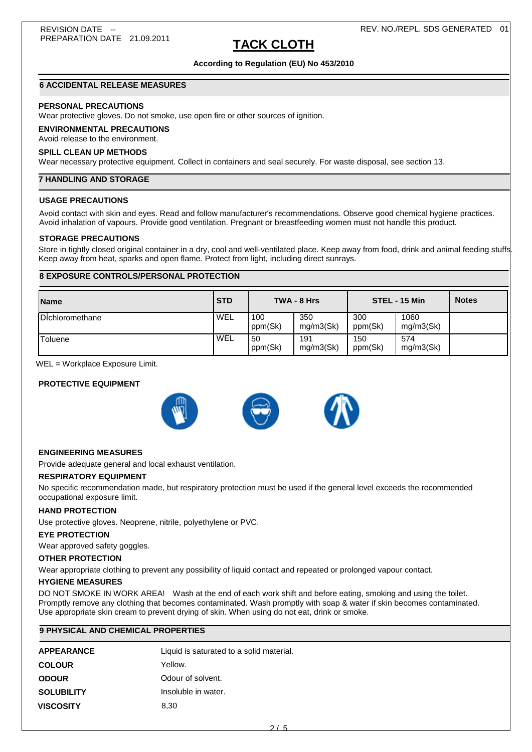### REV. NO./REPL. SDS GENERATED 01

# **TACK CLOTH**

## **According to Regulation (EU) No 453/2010**

## **6 ACCIDENTAL RELEASE MEASURES**

## **PERSONAL PRECAUTIONS**

Wear protective gloves. Do not smoke, use open fire or other sources of ignition.

## **ENVIRONMENTAL PRECAUTIONS**

## Avoid release to the environment.

## **SPILL CLEAN UP METHODS**

Wear necessary protective equipment. Collect in containers and seal securely. For waste disposal, see section 13.

## **7 HANDLING AND STORAGE**

## **USAGE PRECAUTIONS**

Avoid contact with skin and eyes. Read and follow manufacturer's recommendations. Observe good chemical hygiene practices. Avoid inhalation of vapours. Provide good ventilation. Pregnant or breastfeeding women must not handle this product.

## **STORAGE PRECAUTIONS**

Store in tightly closed original container in a dry, cool and well-ventilated place. Keep away from food, drink and animal feeding stuffs Keep away from heat, sparks and open flame. Protect from light, including direct sunrays.

## **8 EXPOSURE CONTROLS/PERSONAL PROTECTION**

| <b>Name</b>     | <b>STD</b> |                | TWA - 8 Hrs      |                | STEL - 15 Min     | <b>Notes</b> |
|-----------------|------------|----------------|------------------|----------------|-------------------|--------------|
| Dichloromethane | WEL        | 100<br>ppm(Sk) | 350<br>mg/m3(Sk) | 300<br>ppm(Sk) | 1060<br>mg/m3(Sk) |              |
| 'Toluene        | WEL        | 50<br>ppm(Sk)  | 191<br>mq/m3(Sk) | 150<br>ppm(Sk) | 574<br>mq/m3(Sk)  |              |

WEL = Workplace Exposure Limit.

## **PROTECTIVE EQUIPMENT**



### **ENGINEERING MEASURES**

Provide adequate general and local exhaust ventilation.

### **RESPIRATORY EQUIPMENT**

No specific recommendation made, but respiratory protection must be used if the general level exceeds the recommended occupational exposure limit.

### **HAND PROTECTION**

Use protective gloves. Neoprene, nitrile, polyethylene or PVC.

#### **EYE PROTECTION**

Wear approved safety goggles.

#### **OTHER PROTECTION**

Wear appropriate clothing to prevent any possibility of liquid contact and repeated or prolonged vapour contact.

## **HYGIENE MEASURES**

DO NOT SMOKE IN WORK AREA! Wash at the end of each work shift and before eating, smoking and using the toilet. Promptly remove any clothing that becomes contaminated. Wash promptly with soap & water if skin becomes contaminated. Use appropriate skin cream to prevent drying of skin. When using do not eat, drink or smoke.

| <b>9 PHYSICAL AND CHEMICAL PROPERTIES</b> |
|-------------------------------------------|
|                                           |

| <b>APPEARANCE</b> | Liquid is saturated to a solid material. |
|-------------------|------------------------------------------|
| <b>COLOUR</b>     | Yellow.                                  |
| <b>ODOUR</b>      | Odour of solvent.                        |
| <b>SOLUBILITY</b> | Insoluble in water.                      |
| <b>VISCOSITY</b>  | 8.30                                     |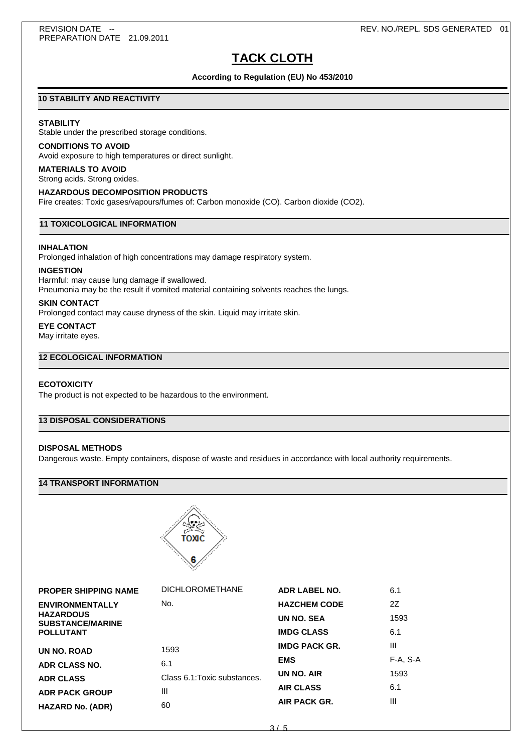# **TACK CLOTH**

**According to Regulation (EU) No 453/2010**

## **10 STABILITY AND REACTIVITY**

## **STABILITY**

Stable under the prescribed storage conditions.

## **CONDITIONS TO AVOID**

Avoid exposure to high temperatures or direct sunlight.

## **MATERIALS TO AVOID**

Strong acids. Strong oxides.

## **HAZARDOUS DECOMPOSITION PRODUCTS**

Fire creates: Toxic gases/vapours/fumes of: Carbon monoxide (CO). Carbon dioxide (CO2).

## **11 TOXICOLOGICAL INFORMATION**

#### **INHALATION**

Prolonged inhalation of high concentrations may damage respiratory system.

## **INGESTION**

Harmful: may cause lung damage if swallowed. Pneumonia may be the result if vomited material containing solvents reaches the lungs.

#### **SKIN CONTACT**

Prolonged contact may cause dryness of the skin. Liquid may irritate skin.

## **EYE CONTACT**

May irritate eyes.

## **12 ECOLOGICAL INFORMATION**

## **ECOTOXICITY**

The product is not expected to be hazardous to the environment.

## **13 DISPOSAL CONSIDERATIONS**

## **DISPOSAL METHODS**

Dangerous waste. Empty containers, dispose of waste and residues in accordance with local authority requirements.

## **14 TRANSPORT INFORMATION**



| <b>DICHLOROMETHANE</b>       | <b>ADR LABEL NO.</b> | 6.1      |
|------------------------------|----------------------|----------|
| No.                          | <b>HAZCHEM CODE</b>  | 2Z       |
|                              | UN NO. SEA           | 1593     |
|                              | <b>IMDG CLASS</b>    | 6.1      |
| 1593                         | <b>IMDG PACK GR.</b> | Ш        |
| 6.1                          | <b>EMS</b>           | F-A, S-A |
| Class 6.1: Toxic substances. | UN NO. AIR           | 1593     |
| Ш                            | <b>AIR CLASS</b>     | 6.1      |
| 60                           | AIR PACK GR.         | Ш        |
|                              |                      |          |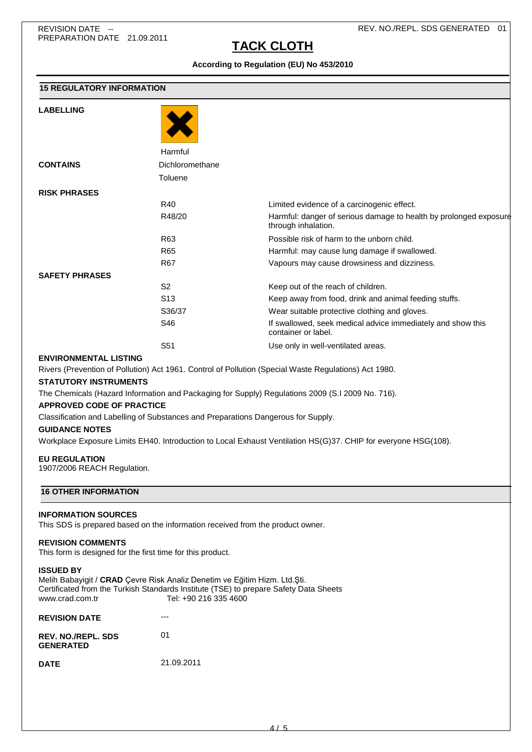**LABELLING**

# **TACK CLOTH**

**According to Regulation (EU) No 453/2010**

| <b>15 REGULATORY INFORMATION</b> |                 |                                                                                          |
|----------------------------------|-----------------|------------------------------------------------------------------------------------------|
| <b>LABELLING</b>                 |                 |                                                                                          |
|                                  | Harmful         |                                                                                          |
| <b>CONTAINS</b>                  | Dichloromethane |                                                                                          |
|                                  | Toluene         |                                                                                          |
| <b>RISK PHRASES</b>              |                 |                                                                                          |
|                                  | R40             | Limited evidence of a carcinogenic effect.                                               |
|                                  | R48/20          | Harmful: danger of serious damage to health by prolonged exposure<br>through inhalation. |
|                                  | R <sub>63</sub> | Possible risk of harm to the unborn child.                                               |
|                                  | R65             | Harmful: may cause lung damage if swallowed.                                             |
|                                  | <b>R67</b>      | Vapours may cause drowsiness and dizziness.                                              |
| <b>SAFETY PHRASES</b>            |                 |                                                                                          |
|                                  | S <sub>2</sub>  | Keep out of the reach of children.                                                       |
|                                  | S <sub>13</sub> | Keep away from food, drink and animal feeding stuffs.                                    |
|                                  | S36/37          | Wear suitable protective clothing and gloves.                                            |
|                                  | S46             | If swallowed, seek medical advice immediately and show this<br>container or label.       |

S51 Use only in well-ventilated areas.

## **ENVIRONMENTAL LISTING**

Rivers (Prevention of Pollution) Act 1961. Control of Pollution (Special Waste Regulations) Act 1980.

## **STATUTORY INSTRUMENTS**

The Chemicals (Hazard Information and Packaging for Supply) Regulations 2009 (S.I 2009 No. 716).

## **APPROVED CODE OF PRACTICE**

Classification and Labelling of Substances and Preparations Dangerous for Supply.

## **GUIDANCE NOTES**

Workplace Exposure Limits EH40. Introduction to Local Exhaust Ventilation HS(G)37. CHIP for everyone HSG(108).

### **EU REGULATION**

1907/2006 REACH Regulation.

## **16 OTHER INFORMATION**

### **INFORMATION SOURCES**

This SDS is prepared based on the information received from the product owner.

### **REVISION COMMENTS**

This form is designed for the first time for this product.

## **ISSUED BY**

Melih Babayigit / **CRAD** Çevre Risk Analiz Denetim ve Eğitim Hizm. Ltd.Şti. Certificated from the Turkish Standards Institute (TSE) to prepare Safety Data Sheets www.crad.com.tr Tel: +90 216 335 4600

| <b>REVISION DATE</b>                          |            |
|-----------------------------------------------|------------|
| <b>REV. NO./REPL. SDS</b><br><b>GENERATED</b> | 01         |
| <b>DATE</b>                                   | 21.09.2011 |